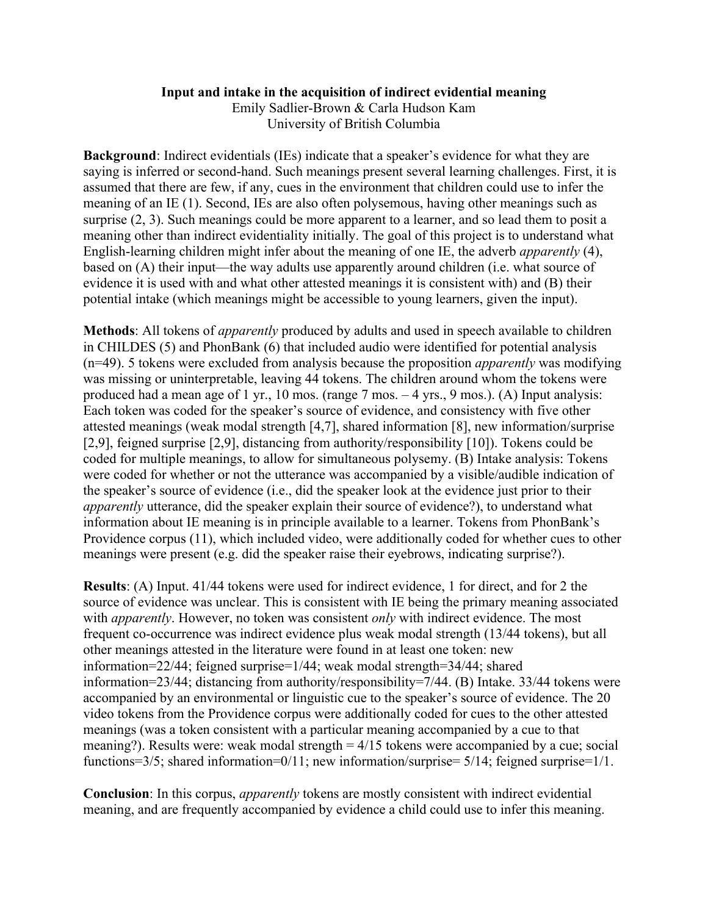## **Input and intake in the acquisition of indirect evidential meaning**

Emily Sadlier-Brown & Carla Hudson Kam University of British Columbia

**Background**: Indirect evidentials (IEs) indicate that a speaker's evidence for what they are saying is inferred or second-hand. Such meanings present several learning challenges. First, it is assumed that there are few, if any, cues in the environment that children could use to infer the meaning of an IE (1). Second, IEs are also often polysemous, having other meanings such as surprise  $(2, 3)$ . Such meanings could be more apparent to a learner, and so lead them to posit a meaning other than indirect evidentiality initially. The goal of this project is to understand what English-learning children might infer about the meaning of one IE, the adverb *apparently* (4), based on (A) their input—the way adults use apparently around children (i.e. what source of evidence it is used with and what other attested meanings it is consistent with) and (B) their potential intake (which meanings might be accessible to young learners, given the input).

**Methods**: All tokens of *apparently* produced by adults and used in speech available to children in CHILDES (5) and PhonBank (6) that included audio were identified for potential analysis (n=49). 5 tokens were excluded from analysis because the proposition *apparently* was modifying was missing or uninterpretable, leaving 44 tokens. The children around whom the tokens were produced had a mean age of 1 yr., 10 mos. (range 7 mos. – 4 yrs., 9 mos.). (A) Input analysis: Each token was coded for the speaker's source of evidence, and consistency with five other attested meanings (weak modal strength [4,7], shared information [8], new information/surprise [2,9], feigned surprise [2,9], distancing from authority/responsibility [10]). Tokens could be coded for multiple meanings, to allow for simultaneous polysemy. (B) Intake analysis: Tokens were coded for whether or not the utterance was accompanied by a visible/audible indication of the speaker's source of evidence (i.e., did the speaker look at the evidence just prior to their *apparently* utterance, did the speaker explain their source of evidence?), to understand what information about IE meaning is in principle available to a learner. Tokens from PhonBank's Providence corpus (11), which included video, were additionally coded for whether cues to other meanings were present (e.g. did the speaker raise their eyebrows, indicating surprise?).

**Results**: (A) Input. 41/44 tokens were used for indirect evidence, 1 for direct, and for 2 the source of evidence was unclear. This is consistent with IE being the primary meaning associated with *apparently*. However, no token was consistent *only* with indirect evidence. The most frequent co-occurrence was indirect evidence plus weak modal strength (13/44 tokens), but all other meanings attested in the literature were found in at least one token: new information=22/44; feigned surprise=1/44; weak modal strength=34/44; shared information=23/44; distancing from authority/responsibility=7/44. (B) Intake. 33/44 tokens were accompanied by an environmental or linguistic cue to the speaker's source of evidence. The 20 video tokens from the Providence corpus were additionally coded for cues to the other attested meanings (was a token consistent with a particular meaning accompanied by a cue to that meaning?). Results were: weak modal strength  $= 4/15$  tokens were accompanied by a cue; social functions=3/5; shared information=0/11; new information/surprise= 5/14; feigned surprise=1/1.

**Conclusion**: In this corpus, *apparently* tokens are mostly consistent with indirect evidential meaning, and are frequently accompanied by evidence a child could use to infer this meaning.